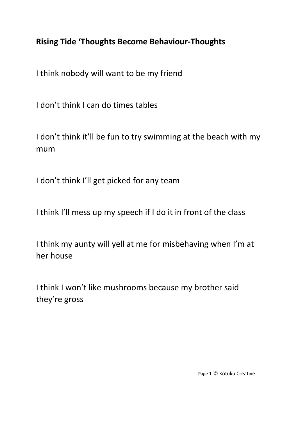## **Rising Tide 'Thoughts Become Behaviour-Thoughts**

I think nobody will want to be my friend

I don't think I can do times tables

I don't think it'll be fun to try swimming at the beach with my mum

I don't think I'll get picked for any team

I think I'll mess up my speech if I do it in front of the class

I think my aunty will yell at me for misbehaving when I'm at her house

I think I won't like mushrooms because my brother said they're gross